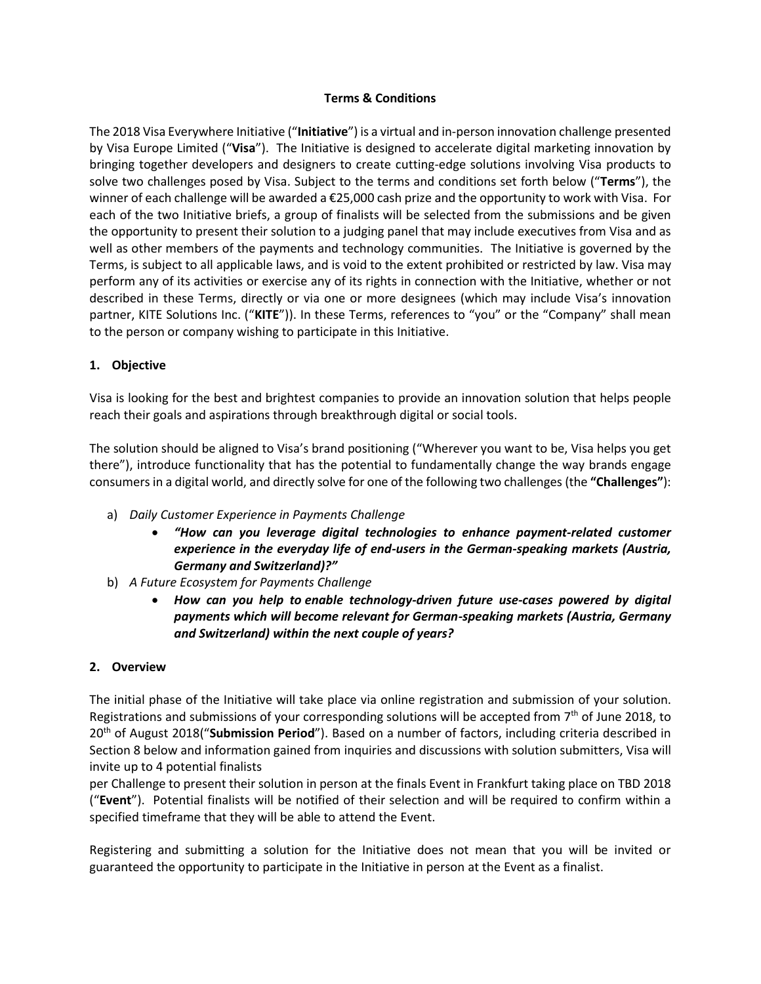## **Terms & Conditions**

The 2018 Visa Everywhere Initiative ("**Initiative**") is a virtual and in-person innovation challenge presented by Visa Europe Limited ("**Visa**"). The Initiative is designed to accelerate digital marketing innovation by bringing together developers and designers to create cutting-edge solutions involving Visa products to solve two challenges posed by Visa. Subject to the terms and conditions set forth below ("**Terms**"), the winner of each challenge will be awarded a €25,000 cash prize and the opportunity to work with Visa. For each of the two Initiative briefs, a group of finalists will be selected from the submissions and be given the opportunity to present their solution to a judging panel that may include executives from Visa and as well as other members of the payments and technology communities. The Initiative is governed by the Terms, is subject to all applicable laws, and is void to the extent prohibited or restricted by law. Visa may perform any of its activities or exercise any of its rights in connection with the Initiative, whether or not described in these Terms, directly or via one or more designees (which may include Visa's innovation partner, KITE Solutions Inc. ("**KITE**")). In these Terms, references to "you" or the "Company" shall mean to the person or company wishing to participate in this Initiative.

### **1. Objective**

Visa is looking for the best and brightest companies to provide an innovation solution that helps people reach their goals and aspirations through breakthrough digital or social tools.

The solution should be aligned to Visa's brand positioning ("Wherever you want to be, Visa helps you get there"), introduce functionality that has the potential to fundamentally change the way brands engage consumers in a digital world, and directly solve for one of the following two challenges (the **"Challenges"**):

- a) *Daily Customer Experience in Payments Challenge*
	- *"How can you leverage digital technologies to enhance payment-related customer experience in the everyday life of end-users in the German-speaking markets (Austria, Germany and Switzerland)?"*
- b) *A Future Ecosystem for Payments Challenge*
	- *How can you help to enable technology-driven future use-cases powered by digital payments which will become relevant for German-speaking markets (Austria, Germany and Switzerland) within the next couple of years?*

## **2. Overview**

The initial phase of the Initiative will take place via online registration and submission of your solution. Registrations and submissions of your corresponding solutions will be accepted from 7<sup>th</sup> of June 2018, to 20th of August 2018("**Submission Period**"). Based on a number of factors, including criteria described in Section 8 below and information gained from inquiries and discussions with solution submitters, Visa will invite up to 4 potential finalists

per Challenge to present their solution in person at the finals Event in Frankfurt taking place on TBD 2018 ("**Event**"). Potential finalists will be notified of their selection and will be required to confirm within a specified timeframe that they will be able to attend the Event.

Registering and submitting a solution for the Initiative does not mean that you will be invited or guaranteed the opportunity to participate in the Initiative in person at the Event as a finalist.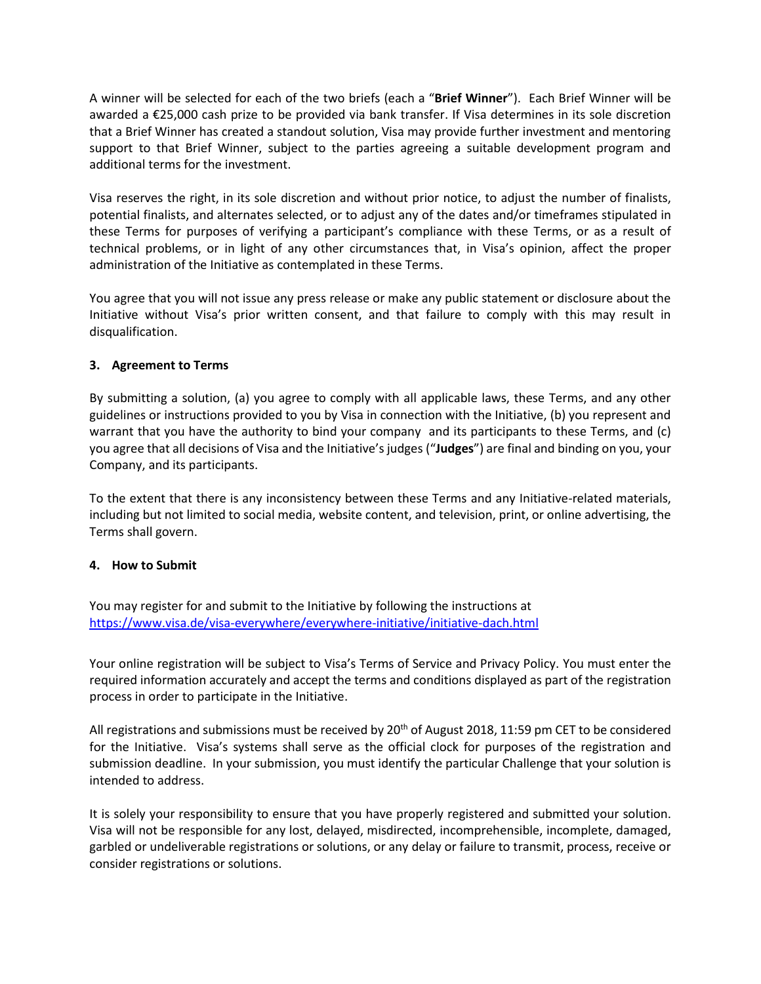A winner will be selected for each of the two briefs (each a "**Brief Winner**"). Each Brief Winner will be awarded a €25,000 cash prize to be provided via bank transfer. If Visa determines in its sole discretion that a Brief Winner has created a standout solution, Visa may provide further investment and mentoring support to that Brief Winner, subject to the parties agreeing a suitable development program and additional terms for the investment.

Visa reserves the right, in its sole discretion and without prior notice, to adjust the number of finalists, potential finalists, and alternates selected, or to adjust any of the dates and/or timeframes stipulated in these Terms for purposes of verifying a participant's compliance with these Terms, or as a result of technical problems, or in light of any other circumstances that, in Visa's opinion, affect the proper administration of the Initiative as contemplated in these Terms.

You agree that you will not issue any press release or make any public statement or disclosure about the Initiative without Visa's prior written consent, and that failure to comply with this may result in disqualification.

## **3. Agreement to Terms**

By submitting a solution, (a) you agree to comply with all applicable laws, these Terms, and any other guidelines or instructions provided to you by Visa in connection with the Initiative, (b) you represent and warrant that you have the authority to bind your company and its participants to these Terms, and (c) you agree that all decisions of Visa and the Initiative's judges ("**Judges**") are final and binding on you, your Company, and its participants.

To the extent that there is any inconsistency between these Terms and any Initiative-related materials, including but not limited to social media, website content, and television, print, or online advertising, the Terms shall govern.

## **4. How to Submit**

You may register for and submit to the Initiative by following the instructions at <https://www.visa.de/visa-everywhere/everywhere-initiative/initiative-dach.html>

Your online registration will be subject to Visa's Terms of Service and Privacy Policy. You must enter the required information accurately and accept the terms and conditions displayed as part of the registration process in order to participate in the Initiative.

All registrations and submissions must be received by 20<sup>th</sup> of August 2018, 11:59 pm CET to be considered for the Initiative. Visa's systems shall serve as the official clock for purposes of the registration and submission deadline. In your submission, you must identify the particular Challenge that your solution is intended to address.

It is solely your responsibility to ensure that you have properly registered and submitted your solution. Visa will not be responsible for any lost, delayed, misdirected, incomprehensible, incomplete, damaged, garbled or undeliverable registrations or solutions, or any delay or failure to transmit, process, receive or consider registrations or solutions.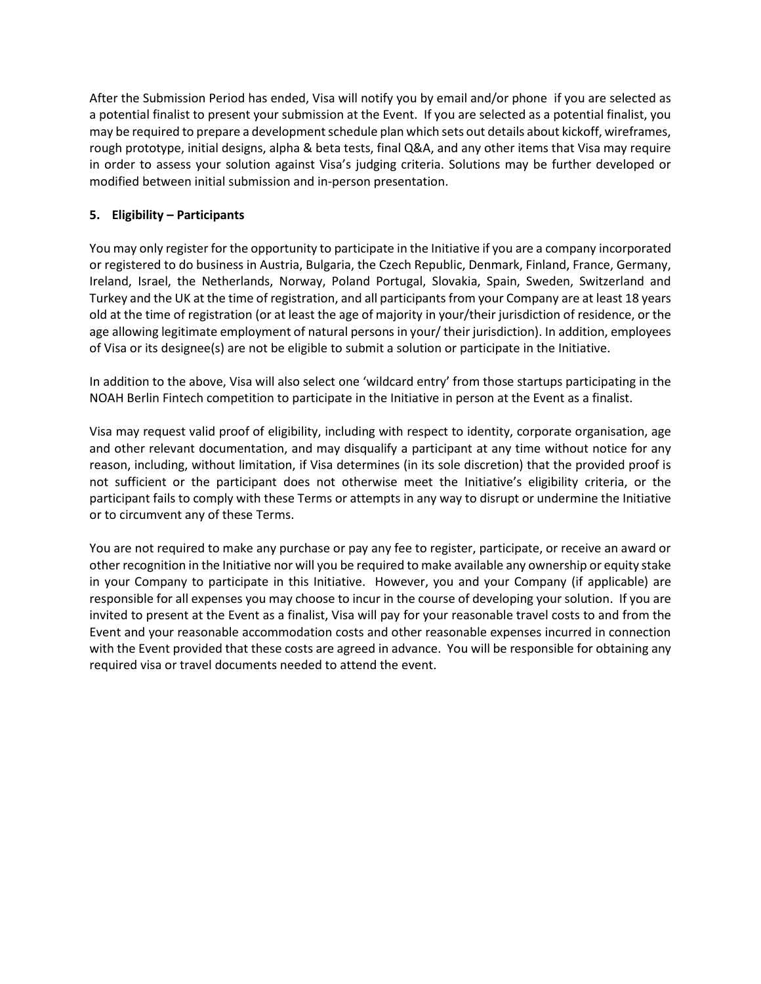After the Submission Period has ended, Visa will notify you by email and/or phone if you are selected as a potential finalist to present your submission at the Event. If you are selected as a potential finalist, you may be required to prepare a development schedule plan which sets out details about kickoff, wireframes, rough prototype, initial designs, alpha & beta tests, final Q&A, and any other items that Visa may require in order to assess your solution against Visa's judging criteria. Solutions may be further developed or modified between initial submission and in-person presentation.

## **5. Eligibility – Participants**

You may only register for the opportunity to participate in the Initiative if you are a company incorporated or registered to do business in Austria, Bulgaria, the Czech Republic, Denmark, Finland, France, Germany, Ireland, Israel, the Netherlands, Norway, Poland Portugal, Slovakia, Spain, Sweden, Switzerland and Turkey and the UK at the time of registration, and all participants from your Company are at least 18 years old at the time of registration (or at least the age of majority in your/their jurisdiction of residence, or the age allowing legitimate employment of natural persons in your/ their jurisdiction). In addition, employees of Visa or its designee(s) are not be eligible to submit a solution or participate in the Initiative.

In addition to the above, Visa will also select one 'wildcard entry' from those startups participating in the NOAH Berlin Fintech competition to participate in the Initiative in person at the Event as a finalist.

Visa may request valid proof of eligibility, including with respect to identity, corporate organisation, age and other relevant documentation, and may disqualify a participant at any time without notice for any reason, including, without limitation, if Visa determines (in its sole discretion) that the provided proof is not sufficient or the participant does not otherwise meet the Initiative's eligibility criteria, or the participant fails to comply with these Terms or attempts in any way to disrupt or undermine the Initiative or to circumvent any of these Terms.

You are not required to make any purchase or pay any fee to register, participate, or receive an award or other recognition in the Initiative nor will you be required to make available any ownership or equity stake in your Company to participate in this Initiative. However, you and your Company (if applicable) are responsible for all expenses you may choose to incur in the course of developing your solution. If you are invited to present at the Event as a finalist, Visa will pay for your reasonable travel costs to and from the Event and your reasonable accommodation costs and other reasonable expenses incurred in connection with the Event provided that these costs are agreed in advance. You will be responsible for obtaining any required visa or travel documents needed to attend the event.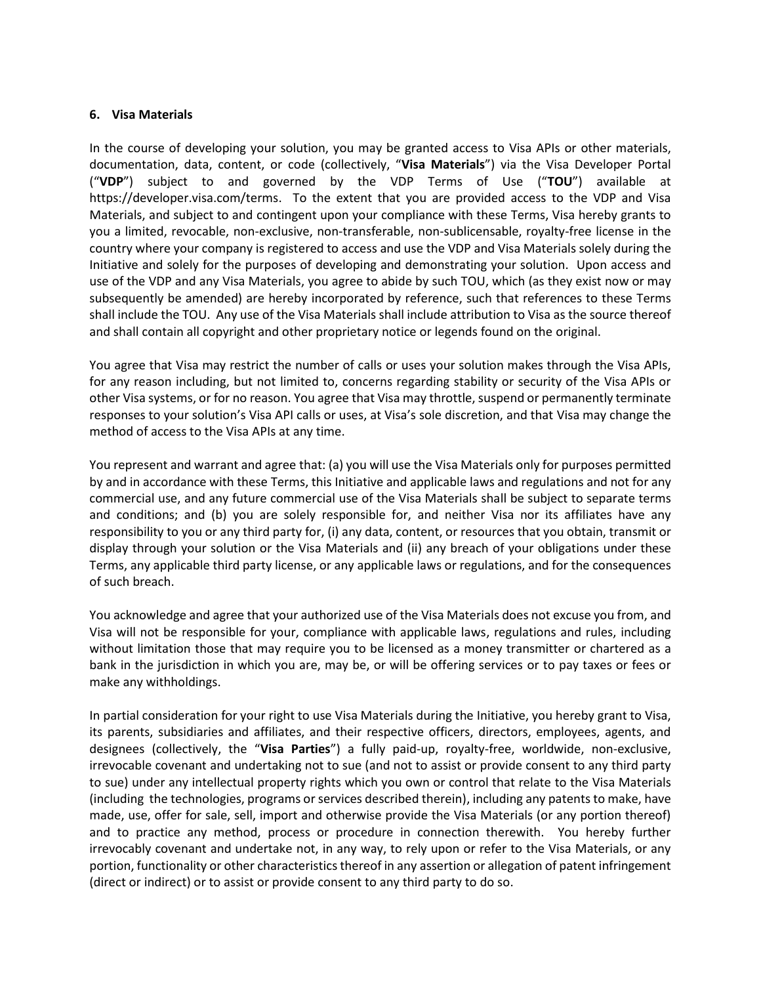### **6. Visa Materials**

In the course of developing your solution, you may be granted access to Visa APIs or other materials, documentation, data, content, or code (collectively, "**Visa Materials**") via the Visa Developer Portal ("**VDP**") subject to and governed by the VDP Terms of Use ("**TOU**") available at https://developer.visa.com/terms. To the extent that you are provided access to the VDP and Visa Materials, and subject to and contingent upon your compliance with these Terms, Visa hereby grants to you a limited, revocable, non-exclusive, non-transferable, non-sublicensable, royalty-free license in the country where your company is registered to access and use the VDP and Visa Materials solely during the Initiative and solely for the purposes of developing and demonstrating your solution. Upon access and use of the VDP and any Visa Materials, you agree to abide by such TOU, which (as they exist now or may subsequently be amended) are hereby incorporated by reference, such that references to these Terms shall include the TOU. Any use of the Visa Materials shall include attribution to Visa as the source thereof and shall contain all copyright and other proprietary notice or legends found on the original.

You agree that Visa may restrict the number of calls or uses your solution makes through the Visa APIs, for any reason including, but not limited to, concerns regarding stability or security of the Visa APIs or other Visa systems, or for no reason. You agree that Visa may throttle, suspend or permanently terminate responses to your solution's Visa API calls or uses, at Visa's sole discretion, and that Visa may change the method of access to the Visa APIs at any time.

You represent and warrant and agree that: (a) you will use the Visa Materials only for purposes permitted by and in accordance with these Terms, this Initiative and applicable laws and regulations and not for any commercial use, and any future commercial use of the Visa Materials shall be subject to separate terms and conditions; and (b) you are solely responsible for, and neither Visa nor its affiliates have any responsibility to you or any third party for, (i) any data, content, or resources that you obtain, transmit or display through your solution or the Visa Materials and (ii) any breach of your obligations under these Terms, any applicable third party license, or any applicable laws or regulations, and for the consequences of such breach.

You acknowledge and agree that your authorized use of the Visa Materials does not excuse you from, and Visa will not be responsible for your, compliance with applicable laws, regulations and rules, including without limitation those that may require you to be licensed as a money transmitter or chartered as a bank in the jurisdiction in which you are, may be, or will be offering services or to pay taxes or fees or make any withholdings.

In partial consideration for your right to use Visa Materials during the Initiative, you hereby grant to Visa, its parents, subsidiaries and affiliates, and their respective officers, directors, employees, agents, and designees (collectively, the "**Visa Parties**") a fully paid-up, royalty-free, worldwide, non-exclusive, irrevocable covenant and undertaking not to sue (and not to assist or provide consent to any third party to sue) under any intellectual property rights which you own or control that relate to the Visa Materials (including the technologies, programs or services described therein), including any patents to make, have made, use, offer for sale, sell, import and otherwise provide the Visa Materials (or any portion thereof) and to practice any method, process or procedure in connection therewith. You hereby further irrevocably covenant and undertake not, in any way, to rely upon or refer to the Visa Materials, or any portion, functionality or other characteristics thereof in any assertion or allegation of patent infringement (direct or indirect) or to assist or provide consent to any third party to do so.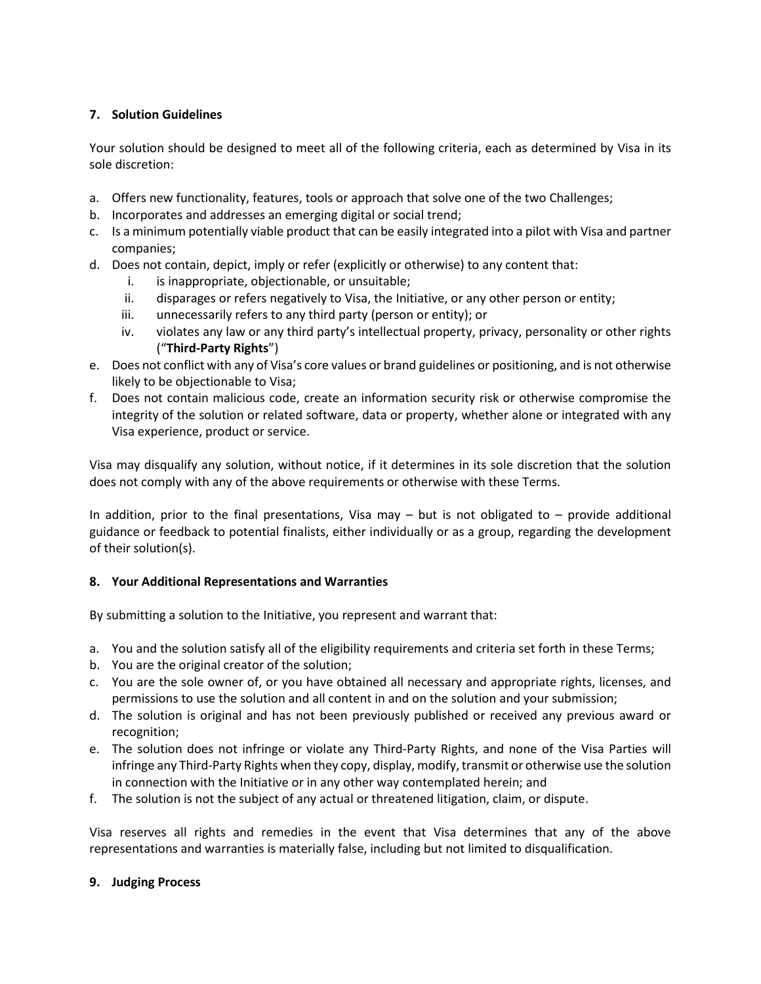# **7. Solution Guidelines**

Your solution should be designed to meet all of the following criteria, each as determined by Visa in its sole discretion:

- a. Offers new functionality, features, tools or approach that solve one of the two Challenges;
- b. Incorporates and addresses an emerging digital or social trend;
- c. Is a minimum potentially viable product that can be easily integrated into a pilot with Visa and partner companies;
- d. Does not contain, depict, imply or refer (explicitly or otherwise) to any content that:
	- i. is inappropriate, objectionable, or unsuitable;
	- ii. disparages or refers negatively to Visa, the Initiative, or any other person or entity;
	- iii. unnecessarily refers to any third party (person or entity); or
	- iv. violates any law or any third party's intellectual property, privacy, personality or other rights ("**Third-Party Rights**")
- e. Does not conflict with any of Visa's core values or brand guidelines or positioning, and is not otherwise likely to be objectionable to Visa;
- f. Does not contain malicious code, create an information security risk or otherwise compromise the integrity of the solution or related software, data or property, whether alone or integrated with any Visa experience, product or service.

Visa may disqualify any solution, without notice, if it determines in its sole discretion that the solution does not comply with any of the above requirements or otherwise with these Terms.

In addition, prior to the final presentations, Visa may – but is not obligated to – provide additional guidance or feedback to potential finalists, either individually or as a group, regarding the development of their solution(s).

## **8. Your Additional Representations and Warranties**

By submitting a solution to the Initiative, you represent and warrant that:

- a. You and the solution satisfy all of the eligibility requirements and criteria set forth in these Terms;
- b. You are the original creator of the solution;
- c. You are the sole owner of, or you have obtained all necessary and appropriate rights, licenses, and permissions to use the solution and all content in and on the solution and your submission;
- d. The solution is original and has not been previously published or received any previous award or recognition;
- e. The solution does not infringe or violate any Third-Party Rights, and none of the Visa Parties will infringe any Third-Party Rights when they copy, display, modify, transmit or otherwise use the solution in connection with the Initiative or in any other way contemplated herein; and
- f. The solution is not the subject of any actual or threatened litigation, claim, or dispute.

Visa reserves all rights and remedies in the event that Visa determines that any of the above representations and warranties is materially false, including but not limited to disqualification.

## **9. Judging Process**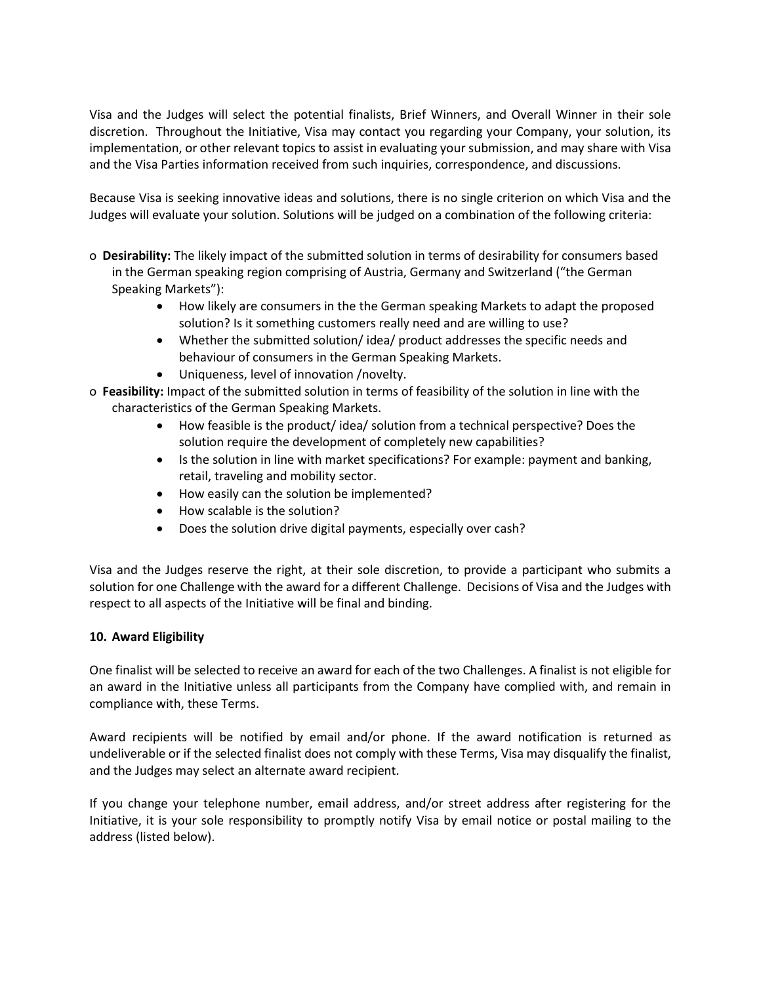Visa and the Judges will select the potential finalists, Brief Winners, and Overall Winner in their sole discretion. Throughout the Initiative, Visa may contact you regarding your Company, your solution, its implementation, or other relevant topics to assist in evaluating your submission, and may share with Visa and the Visa Parties information received from such inquiries, correspondence, and discussions.

Because Visa is seeking innovative ideas and solutions, there is no single criterion on which Visa and the Judges will evaluate your solution. Solutions will be judged on a combination of the following criteria:

- o **Desirability:** The likely impact of the submitted solution in terms of desirability for consumers based in the German speaking region comprising of Austria, Germany and Switzerland ("the German Speaking Markets"):
	- How likely are consumers in the the German speaking Markets to adapt the proposed solution? Is it something customers really need and are willing to use?
	- Whether the submitted solution/ idea/ product addresses the specific needs and behaviour of consumers in the German Speaking Markets.
	- Uniqueness, level of innovation /novelty.
- o **Feasibility:** Impact of the submitted solution in terms of feasibility of the solution in line with the characteristics of the German Speaking Markets.
	- How feasible is the product/ idea/ solution from a technical perspective? Does the solution require the development of completely new capabilities?
	- Is the solution in line with market specifications? For example: payment and banking, retail, traveling and mobility sector.
	- How easily can the solution be implemented?
	- How scalable is the solution?
	- Does the solution drive digital payments, especially over cash?

Visa and the Judges reserve the right, at their sole discretion, to provide a participant who submits a solution for one Challenge with the award for a different Challenge. Decisions of Visa and the Judges with respect to all aspects of the Initiative will be final and binding.

# **10. Award Eligibility**

One finalist will be selected to receive an award for each of the two Challenges. A finalist is not eligible for an award in the Initiative unless all participants from the Company have complied with, and remain in compliance with, these Terms.

Award recipients will be notified by email and/or phone. If the award notification is returned as undeliverable or if the selected finalist does not comply with these Terms, Visa may disqualify the finalist, and the Judges may select an alternate award recipient.

If you change your telephone number, email address, and/or street address after registering for the Initiative, it is your sole responsibility to promptly notify Visa by email notice or postal mailing to the address (listed below).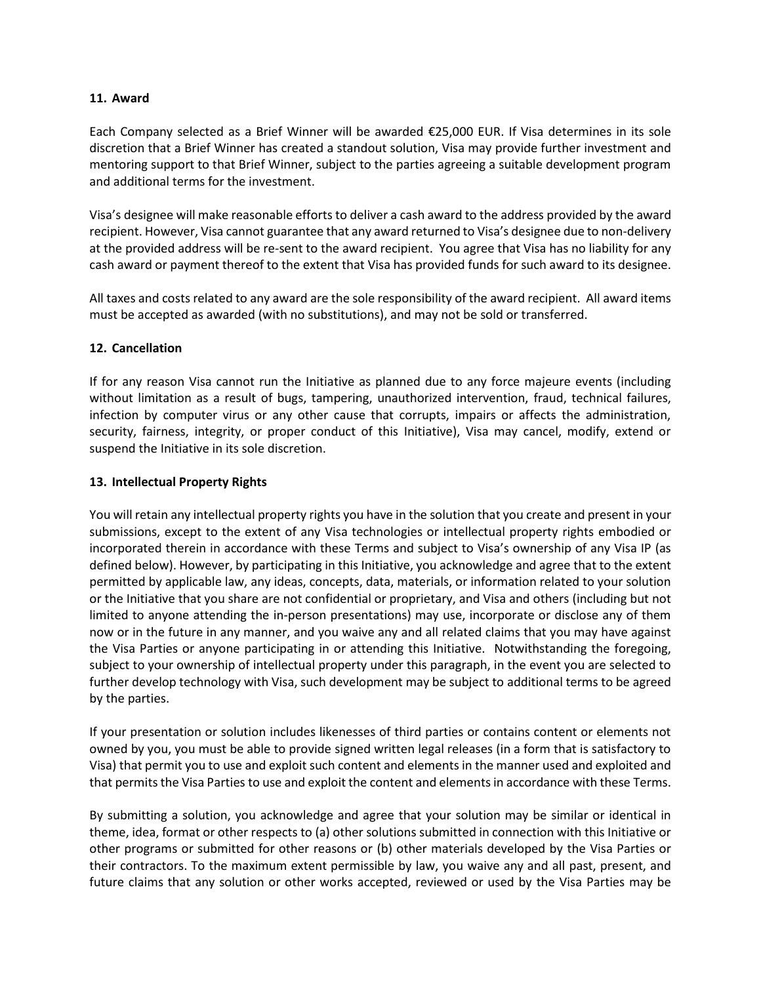### **11. Award**

Each Company selected as a Brief Winner will be awarded €25,000 EUR. If Visa determines in its sole discretion that a Brief Winner has created a standout solution, Visa may provide further investment and mentoring support to that Brief Winner, subject to the parties agreeing a suitable development program and additional terms for the investment.

Visa's designee will make reasonable efforts to deliver a cash award to the address provided by the award recipient. However, Visa cannot guarantee that any award returned to Visa's designee due to non-delivery at the provided address will be re-sent to the award recipient. You agree that Visa has no liability for any cash award or payment thereof to the extent that Visa has provided funds for such award to its designee.

All taxes and costs related to any award are the sole responsibility of the award recipient. All award items must be accepted as awarded (with no substitutions), and may not be sold or transferred.

### **12. Cancellation**

If for any reason Visa cannot run the Initiative as planned due to any force majeure events (including without limitation as a result of bugs, tampering, unauthorized intervention, fraud, technical failures, infection by computer virus or any other cause that corrupts, impairs or affects the administration, security, fairness, integrity, or proper conduct of this Initiative), Visa may cancel, modify, extend or suspend the Initiative in its sole discretion.

### **13. Intellectual Property Rights**

You will retain any intellectual property rights you have in the solution that you create and present in your submissions, except to the extent of any Visa technologies or intellectual property rights embodied or incorporated therein in accordance with these Terms and subject to Visa's ownership of any Visa IP (as defined below). However, by participating in this Initiative, you acknowledge and agree that to the extent permitted by applicable law, any ideas, concepts, data, materials, or information related to your solution or the Initiative that you share are not confidential or proprietary, and Visa and others (including but not limited to anyone attending the in-person presentations) may use, incorporate or disclose any of them now or in the future in any manner, and you waive any and all related claims that you may have against the Visa Parties or anyone participating in or attending this Initiative. Notwithstanding the foregoing, subject to your ownership of intellectual property under this paragraph, in the event you are selected to further develop technology with Visa, such development may be subject to additional terms to be agreed by the parties.

If your presentation or solution includes likenesses of third parties or contains content or elements not owned by you, you must be able to provide signed written legal releases (in a form that is satisfactory to Visa) that permit you to use and exploit such content and elements in the manner used and exploited and that permits the Visa Parties to use and exploit the content and elements in accordance with these Terms.

By submitting a solution, you acknowledge and agree that your solution may be similar or identical in theme, idea, format or other respects to (a) other solutions submitted in connection with this Initiative or other programs or submitted for other reasons or (b) other materials developed by the Visa Parties or their contractors. To the maximum extent permissible by law, you waive any and all past, present, and future claims that any solution or other works accepted, reviewed or used by the Visa Parties may be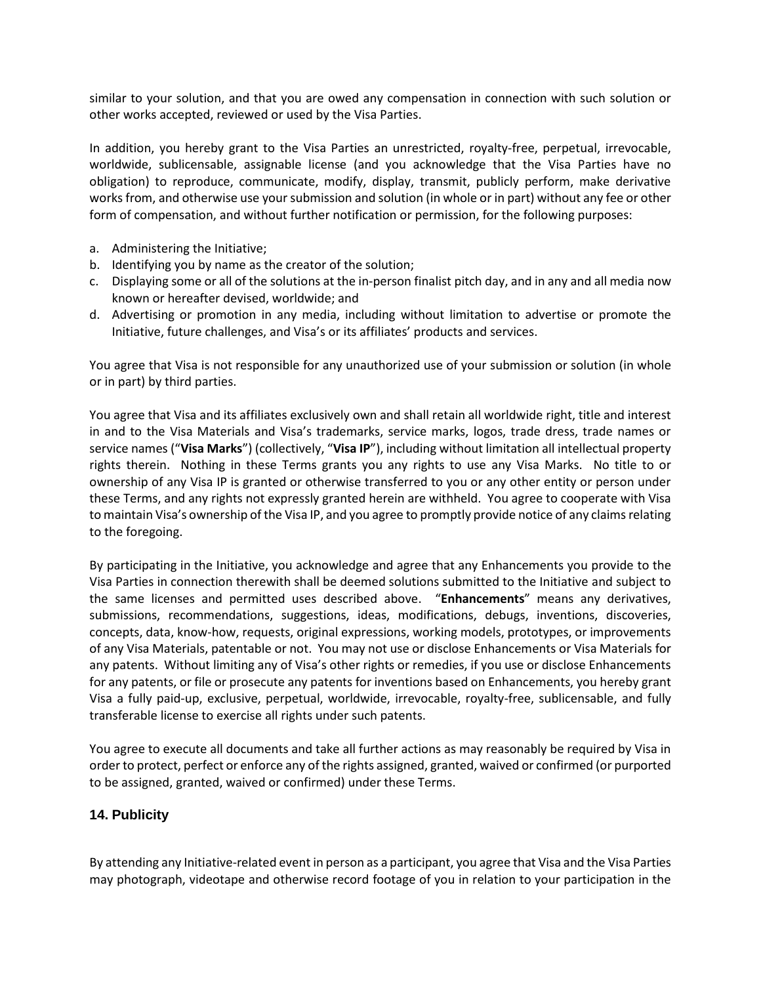similar to your solution, and that you are owed any compensation in connection with such solution or other works accepted, reviewed or used by the Visa Parties.

In addition, you hereby grant to the Visa Parties an unrestricted, royalty-free, perpetual, irrevocable, worldwide, sublicensable, assignable license (and you acknowledge that the Visa Parties have no obligation) to reproduce, communicate, modify, display, transmit, publicly perform, make derivative works from, and otherwise use your submission and solution (in whole or in part) without any fee or other form of compensation, and without further notification or permission, for the following purposes:

- a. Administering the Initiative;
- b. Identifying you by name as the creator of the solution;
- c. Displaying some or all of the solutions at the in-person finalist pitch day, and in any and all media now known or hereafter devised, worldwide; and
- d. Advertising or promotion in any media, including without limitation to advertise or promote the Initiative, future challenges, and Visa's or its affiliates' products and services.

You agree that Visa is not responsible for any unauthorized use of your submission or solution (in whole or in part) by third parties.

You agree that Visa and its affiliates exclusively own and shall retain all worldwide right, title and interest in and to the Visa Materials and Visa's trademarks, service marks, logos, trade dress, trade names or service names ("**Visa Marks**") (collectively, "**Visa IP**"), including without limitation all intellectual property rights therein. Nothing in these Terms grants you any rights to use any Visa Marks. No title to or ownership of any Visa IP is granted or otherwise transferred to you or any other entity or person under these Terms, and any rights not expressly granted herein are withheld. You agree to cooperate with Visa to maintain Visa's ownership of the Visa IP, and you agree to promptly provide notice of any claims relating to the foregoing.

By participating in the Initiative, you acknowledge and agree that any Enhancements you provide to the Visa Parties in connection therewith shall be deemed solutions submitted to the Initiative and subject to the same licenses and permitted uses described above. "**Enhancements**" means any derivatives, submissions, recommendations, suggestions, ideas, modifications, debugs, inventions, discoveries, concepts, data, know-how, requests, original expressions, working models, prototypes, or improvements of any Visa Materials, patentable or not. You may not use or disclose Enhancements or Visa Materials for any patents. Without limiting any of Visa's other rights or remedies, if you use or disclose Enhancements for any patents, or file or prosecute any patents for inventions based on Enhancements, you hereby grant Visa a fully paid-up, exclusive, perpetual, worldwide, irrevocable, royalty-free, sublicensable, and fully transferable license to exercise all rights under such patents.

You agree to execute all documents and take all further actions as may reasonably be required by Visa in order to protect, perfect or enforce any of the rights assigned, granted, waived or confirmed (or purported to be assigned, granted, waived or confirmed) under these Terms.

# **14. Publicity**

By attending any Initiative-related event in person as a participant, you agree that Visa and the Visa Parties may photograph, videotape and otherwise record footage of you in relation to your participation in the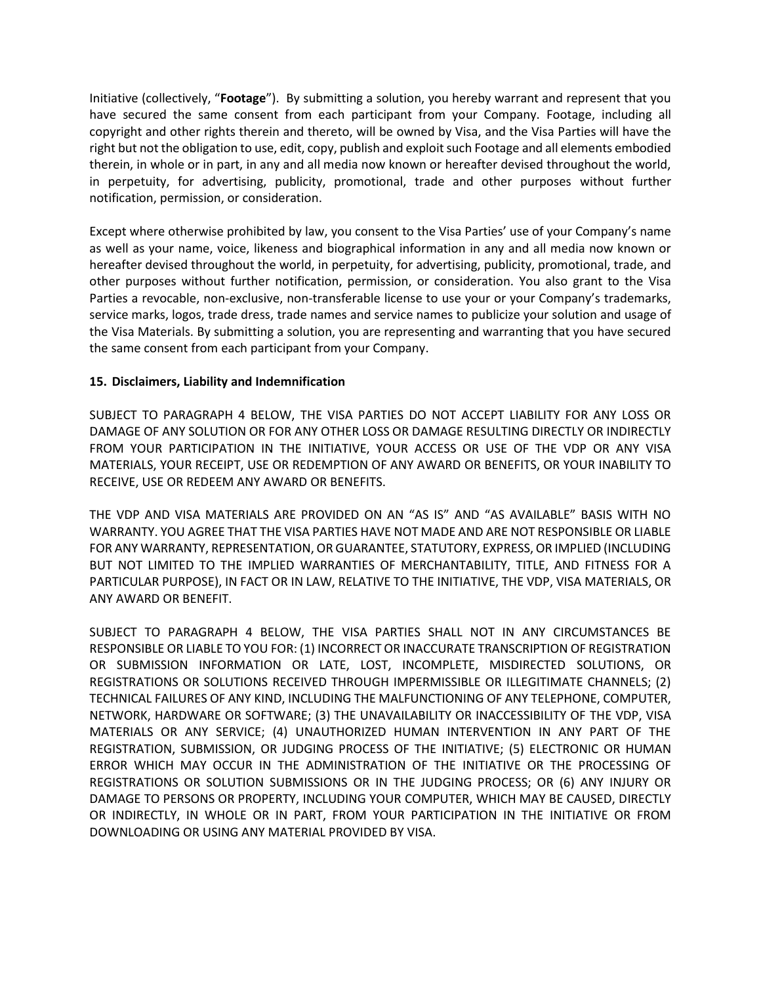Initiative (collectively, "**Footage**"). By submitting a solution, you hereby warrant and represent that you have secured the same consent from each participant from your Company. Footage, including all copyright and other rights therein and thereto, will be owned by Visa, and the Visa Parties will have the right but not the obligation to use, edit, copy, publish and exploit such Footage and all elements embodied therein, in whole or in part, in any and all media now known or hereafter devised throughout the world, in perpetuity, for advertising, publicity, promotional, trade and other purposes without further notification, permission, or consideration.

Except where otherwise prohibited by law, you consent to the Visa Parties' use of your Company's name as well as your name, voice, likeness and biographical information in any and all media now known or hereafter devised throughout the world, in perpetuity, for advertising, publicity, promotional, trade, and other purposes without further notification, permission, or consideration. You also grant to the Visa Parties a revocable, non-exclusive, non-transferable license to use your or your Company's trademarks, service marks, logos, trade dress, trade names and service names to publicize your solution and usage of the Visa Materials. By submitting a solution, you are representing and warranting that you have secured the same consent from each participant from your Company.

## **15. Disclaimers, Liability and Indemnification**

SUBJECT TO PARAGRAPH 4 BELOW, THE VISA PARTIES DO NOT ACCEPT LIABILITY FOR ANY LOSS OR DAMAGE OF ANY SOLUTION OR FOR ANY OTHER LOSS OR DAMAGE RESULTING DIRECTLY OR INDIRECTLY FROM YOUR PARTICIPATION IN THE INITIATIVE, YOUR ACCESS OR USE OF THE VDP OR ANY VISA MATERIALS, YOUR RECEIPT, USE OR REDEMPTION OF ANY AWARD OR BENEFITS, OR YOUR INABILITY TO RECEIVE, USE OR REDEEM ANY AWARD OR BENEFITS.

THE VDP AND VISA MATERIALS ARE PROVIDED ON AN "AS IS" AND "AS AVAILABLE" BASIS WITH NO WARRANTY. YOU AGREE THAT THE VISA PARTIES HAVE NOT MADE AND ARE NOT RESPONSIBLE OR LIABLE FOR ANY WARRANTY, REPRESENTATION, OR GUARANTEE, STATUTORY, EXPRESS, OR IMPLIED (INCLUDING BUT NOT LIMITED TO THE IMPLIED WARRANTIES OF MERCHANTABILITY, TITLE, AND FITNESS FOR A PARTICULAR PURPOSE), IN FACT OR IN LAW, RELATIVE TO THE INITIATIVE, THE VDP, VISA MATERIALS, OR ANY AWARD OR BENEFIT.

SUBJECT TO PARAGRAPH 4 BELOW, THE VISA PARTIES SHALL NOT IN ANY CIRCUMSTANCES BE RESPONSIBLE OR LIABLE TO YOU FOR: (1) INCORRECT OR INACCURATE TRANSCRIPTION OF REGISTRATION OR SUBMISSION INFORMATION OR LATE, LOST, INCOMPLETE, MISDIRECTED SOLUTIONS, OR REGISTRATIONS OR SOLUTIONS RECEIVED THROUGH IMPERMISSIBLE OR ILLEGITIMATE CHANNELS; (2) TECHNICAL FAILURES OF ANY KIND, INCLUDING THE MALFUNCTIONING OF ANY TELEPHONE, COMPUTER, NETWORK, HARDWARE OR SOFTWARE; (3) THE UNAVAILABILITY OR INACCESSIBILITY OF THE VDP, VISA MATERIALS OR ANY SERVICE; (4) UNAUTHORIZED HUMAN INTERVENTION IN ANY PART OF THE REGISTRATION, SUBMISSION, OR JUDGING PROCESS OF THE INITIATIVE; (5) ELECTRONIC OR HUMAN ERROR WHICH MAY OCCUR IN THE ADMINISTRATION OF THE INITIATIVE OR THE PROCESSING OF REGISTRATIONS OR SOLUTION SUBMISSIONS OR IN THE JUDGING PROCESS; OR (6) ANY INJURY OR DAMAGE TO PERSONS OR PROPERTY, INCLUDING YOUR COMPUTER, WHICH MAY BE CAUSED, DIRECTLY OR INDIRECTLY, IN WHOLE OR IN PART, FROM YOUR PARTICIPATION IN THE INITIATIVE OR FROM DOWNLOADING OR USING ANY MATERIAL PROVIDED BY VISA.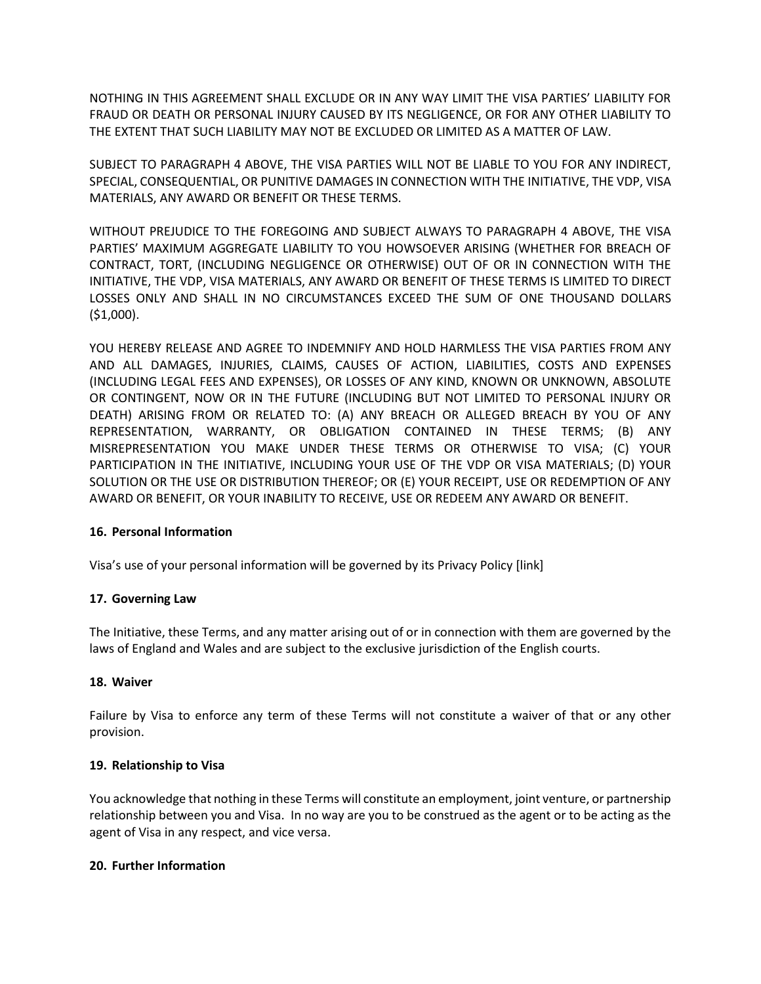NOTHING IN THIS AGREEMENT SHALL EXCLUDE OR IN ANY WAY LIMIT THE VISA PARTIES' LIABILITY FOR FRAUD OR DEATH OR PERSONAL INJURY CAUSED BY ITS NEGLIGENCE, OR FOR ANY OTHER LIABILITY TO THE EXTENT THAT SUCH LIABILITY MAY NOT BE EXCLUDED OR LIMITED AS A MATTER OF LAW.

SUBJECT TO PARAGRAPH 4 ABOVE, THE VISA PARTIES WILL NOT BE LIABLE TO YOU FOR ANY INDIRECT, SPECIAL, CONSEQUENTIAL, OR PUNITIVE DAMAGES IN CONNECTION WITH THE INITIATIVE, THE VDP, VISA MATERIALS, ANY AWARD OR BENEFIT OR THESE TERMS.

WITHOUT PREJUDICE TO THE FOREGOING AND SUBJECT ALWAYS TO PARAGRAPH 4 ABOVE, THE VISA PARTIES' MAXIMUM AGGREGATE LIABILITY TO YOU HOWSOEVER ARISING (WHETHER FOR BREACH OF CONTRACT, TORT, (INCLUDING NEGLIGENCE OR OTHERWISE) OUT OF OR IN CONNECTION WITH THE INITIATIVE, THE VDP, VISA MATERIALS, ANY AWARD OR BENEFIT OF THESE TERMS IS LIMITED TO DIRECT LOSSES ONLY AND SHALL IN NO CIRCUMSTANCES EXCEED THE SUM OF ONE THOUSAND DOLLARS (\$1,000).

YOU HEREBY RELEASE AND AGREE TO INDEMNIFY AND HOLD HARMLESS THE VISA PARTIES FROM ANY AND ALL DAMAGES, INJURIES, CLAIMS, CAUSES OF ACTION, LIABILITIES, COSTS AND EXPENSES (INCLUDING LEGAL FEES AND EXPENSES), OR LOSSES OF ANY KIND, KNOWN OR UNKNOWN, ABSOLUTE OR CONTINGENT, NOW OR IN THE FUTURE (INCLUDING BUT NOT LIMITED TO PERSONAL INJURY OR DEATH) ARISING FROM OR RELATED TO: (A) ANY BREACH OR ALLEGED BREACH BY YOU OF ANY REPRESENTATION, WARRANTY, OR OBLIGATION CONTAINED IN THESE TERMS; (B) ANY MISREPRESENTATION YOU MAKE UNDER THESE TERMS OR OTHERWISE TO VISA; (C) YOUR PARTICIPATION IN THE INITIATIVE, INCLUDING YOUR USE OF THE VDP OR VISA MATERIALS; (D) YOUR SOLUTION OR THE USE OR DISTRIBUTION THEREOF; OR (E) YOUR RECEIPT, USE OR REDEMPTION OF ANY AWARD OR BENEFIT, OR YOUR INABILITY TO RECEIVE, USE OR REDEEM ANY AWARD OR BENEFIT.

## **16. Personal Information**

Visa's use of your personal information will be governed by its Privacy Policy [link]

## **17. Governing Law**

The Initiative, these Terms, and any matter arising out of or in connection with them are governed by the laws of England and Wales and are subject to the exclusive jurisdiction of the English courts.

#### **18. Waiver**

Failure by Visa to enforce any term of these Terms will not constitute a waiver of that or any other provision.

## **19. Relationship to Visa**

You acknowledge that nothing in these Terms will constitute an employment, joint venture, or partnership relationship between you and Visa. In no way are you to be construed as the agent or to be acting as the agent of Visa in any respect, and vice versa.

#### **20. Further Information**